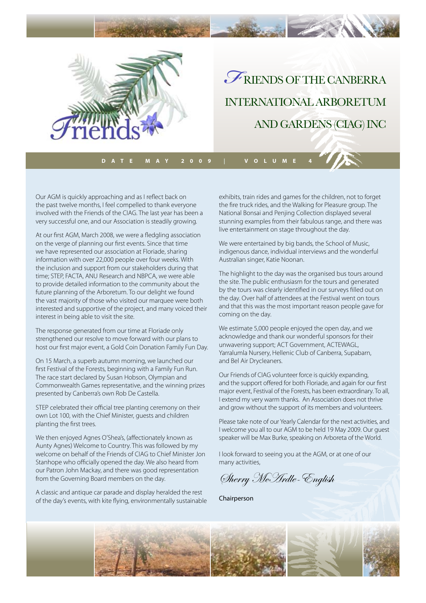

international arboretum and gardens (CIAG) Inc

**Date may 2009 | Volume 4**

Our AGM is quickly approaching and as I reflect back on the past twelve months, I feel compelled to thank everyone involved with the Friends of the CIAG. The last year has been a very successful one, and our Association is steadily growing.

At our first AGM, March 2008, we were a fledgling association on the verge of planning our first events. Since that time we have represented our association at Floriade, sharing information with over 22,000 people over four weeks. With the inclusion and support from our stakeholders during that time; STEP, FACTA, ANU Research and NBPCA, we were able to provide detailed information to the community about the future planning of the Arboretum. To our delight we found the vast majority of those who visited our marquee were both interested and supportive of the project, and many voiced their interest in being able to visit the site.

The response generated from our time at Floriade only strengthened our resolve to move forward with our plans to host our first major event, a Gold Coin Donation Family Fun Day.

On 15 March, a superb autumn morning, we launched our first Festival of the Forests, beginning with a Family Fun Run. The race start declared by Susan Hobson, Olympian and Commonwealth Games representative, and the winning prizes presented by Canberra's own Rob De Castella.

STEP celebrated their official tree planting ceremony on their own Lot 100, with the Chief Minister, guests and children planting the first trees.

We then enjoyed Agnes O'Shea's, (affectionately known as Aunty Agnes) Welcome to Country. This was followed by my welcome on behalf of the Friends of CIAG to Chief Minister Jon Stanhope who officially opened the day. We also heard from our Patron John Mackay, and there was good representation from the Governing Board members on the day.

A classic and antique car parade and display heralded the rest of the day's events, with kite flying, environmentally sustainable exhibits, train rides and games for the children, not to forget the fire truck rides, and the Walking for Pleasure group. The National Bonsai and Penjing Collection displayed several stunning examples from their fabulous range, and there was live entertainment on stage throughout the day.

We were entertained by big bands, the School of Music, indigenous dance, individual interviews and the wonderful Australian singer, Katie Noonan.

The highlight to the day was the organised bus tours around the site. The public enthusiasm for the tours and generated by the tours was clearly identified in our surveys filled out on the day. Over half of attendees at the Festival went on tours and that this was the most important reason people gave for coming on the day.

We estimate 5,000 people enjoyed the open day, and we acknowledge and thank our wonderful sponsors for their unwavering support; ACT Government, ACTEWAGL, Yarralumla Nursery, Hellenic Club of Canberra, Supabarn, and Bel Air Drycleaners.

Our Friends of CIAG volunteer force is quickly expanding, and the support offered for both Floriade, and again for our first major event, Festival of the Forests, has been extraordinary. To all, I extend my very warm thanks. An Association does not thrive and grow without the support of its members and volunteers.

Please take note of our Yearly Calendar for the next activities, and I welcome you all to our AGM to be held 19 May 2009. Our guest speaker will be Max Burke, speaking on Arboreta of the World.

I look forward to seeing you at the AGM, or at one of our many activities,

Sherry McArdle-English

Chairperson

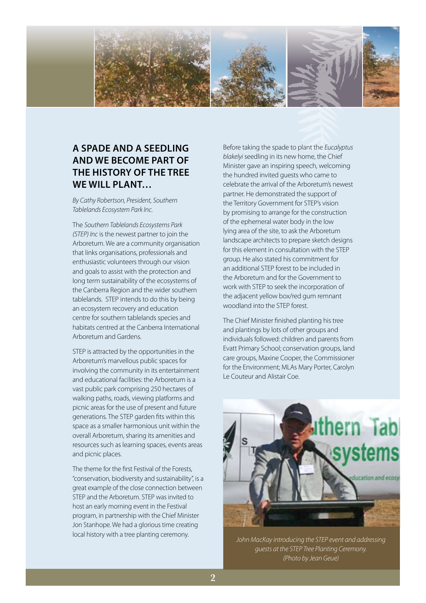

# **A spade and a seedling and we become part of the history of the tree we will plant…**

*By Cathy Robertson, President, Southern Tablelands Ecosystem Park Inc.*

The *Southern Tablelands Ecosystems Park (STEP) Inc* is the newest partner to join the Arboretum. We are a community organisation that links organisations, professionals and enthusiastic volunteers through our vision and goals to assist with the protection and long term sustainability of the ecosystems of the Canberra Region and the wider southern tablelands. STEP intends to do this by being an ecosystem recovery and education centre for southern tablelands species and habitats centred at the Canberra International Arboretum and Gardens.

STEP is attracted by the opportunities in the Arboretum's marvellous public spaces for involving the community in its entertainment and educational facilities: the Arboretum is a vast public park comprising 250 hectares of walking paths, roads, viewing platforms and picnic areas for the use of present and future generations. The STEP garden fits within this space as a smaller harmonious unit within the overall Arboretum, sharing its amenities and resources such as learning spaces, events areas and picnic places.

The theme for the first Festival of the Forests, "conservation, biodiversity and sustainability", is a great example of the close connection between STEP and the Arboretum. STEP was invited to host an early morning event in the Festival program, in partnership with the Chief Minister Jon Stanhope. We had a glorious time creating local history with a tree planting ceremony.

Before taking the spade to plant the *Eucalyptus blakelyi* seedling in its new home, the Chief Minister gave an inspiring speech, welcoming the hundred invited guests who came to celebrate the arrival of the Arboretum's newest partner. He demonstrated the support of the Territory Government for STEP's vision by promising to arrange for the construction of the ephemeral water body in the low lying area of the site, to ask the Arboretum landscape architects to prepare sketch designs for this element in consultation with the STEP group. He also stated his commitment for an additional STEP forest to be included in the Arboretum and for the Government to work with STEP to seek the incorporation of the adjacent yellow box/red gum remnant woodland into the STEP forest.

The Chief Minister finished planting his tree and plantings by lots of other groups and individuals followed: children and parents from Evatt Primary School; conservation groups, land care groups, Maxine Cooper, the Commissioner for the Environment; MLAs Mary Porter, Carolyn Le Couteur and Alistair Coe.



*John MacKay introducing the STEP event and addressing guests at the STEP Tree Planting Ceremony. (Photo by Jean Geue)*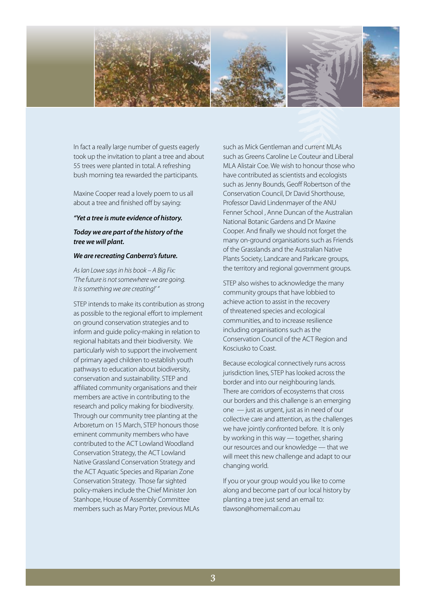

In fact a really large number of guests eagerly took up the invitation to plant a tree and about 55 trees were planted in total. A refreshing bush morning tea rewarded the participants.

Maxine Cooper read a lovely poem to us all about a tree and finished off by saying:

#### *"Yet a tree is mute evidence of history.*

## *Today we are part of the history of the tree we will plant.*

## *We are recreating Canberra's future.*

*As Ian Lowe says in his book – A Big Fix: 'The future is not somewhere we are going. It is something we are creating!' "*

STEP intends to make its contribution as strong as possible to the regional effort to implement on ground conservation strategies and to inform and guide policy-making in relation to regional habitats and their biodiversity. We particularly wish to support the involvement of primary aged children to establish youth pathways to education about biodiversity, conservation and sustainability. STEP and affiliated community organisations and their members are active in contributing to the research and policy making for biodiversity. Through our community tree planting at the Arboretum on 15 March, STEP honours those eminent community members who have contributed to the ACT Lowland Woodland Conservation Strategy, the ACT Lowland Native Grassland Conservation Strategy and the ACT Aquatic Species and Riparian Zone Conservation Strategy. Those far sighted policy-makers include the Chief Minister Jon Stanhope, House of Assembly Committee members such as Mary Porter, previous MLAs

such as Mick Gentleman and current MLAs such as Greens Caroline Le Couteur and Liberal MLA Alistair Coe. We wish to honour those who have contributed as scientists and ecologists such as Jenny Bounds, Geoff Robertson of the Conservation Council, Dr David Shorthouse, Professor David Lindenmayer of the ANU Fenner School , Anne Duncan of the Australian National Botanic Gardens and Dr Maxine Cooper. And finally we should not forget the many on-ground organisations such as Friends of the Grasslands and the Australian Native Plants Society, Landcare and Parkcare groups, the territory and regional government groups.

STEP also wishes to acknowledge the many community groups that have lobbied to achieve action to assist in the recovery of threatened species and ecological communities, and to increase resilience including organisations such as the Conservation Council of the ACT Region and Kosciusko to Coast.

Because ecological connectively runs across jurisdiction lines, STEP has looked across the border and into our neighbouring lands. There are corridors of ecosystems that cross our borders and this challenge is an emerging one — just as urgent, just as in need of our collective care and attention, as the challenges we have jointly confronted before. It is only by working in this way — together, sharing our resources and our knowledge — that we will meet this new challenge and adapt to our changing world.

If you or your group would you like to come along and become part of our local history by planting a tree just send an email to: tlawson@homemail.com.au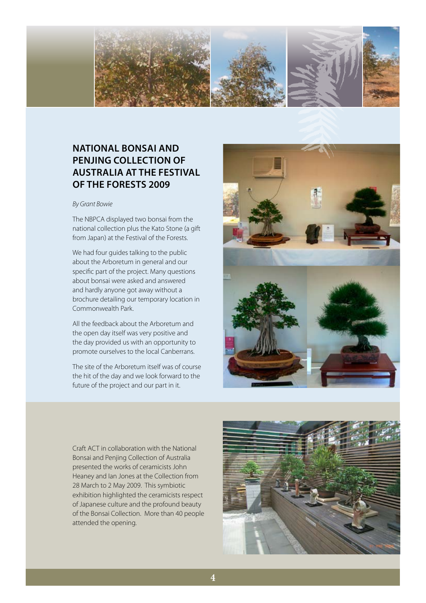

# **National Bonsai and Penjing Collection of Australia at the Festival of the Forests 2009**

#### *By Grant Bowie*

The NBPCA displayed two bonsai from the national collection plus the Kato Stone (a gift from Japan) at the Festival of the Forests.

We had four guides talking to the public about the Arboretum in general and our specific part of the project. Many questions about bonsai were asked and answered and hardly anyone got away without a brochure detailing our temporary location in Commonwealth Park.

All the feedback about the Arboretum and the open day itself was very positive and the day provided us with an opportunity to promote ourselves to the local Canberrans.

The site of the Arboretum itself was of course the hit of the day and we look forward to the future of the project and our part in it.



Craft ACT in collaboration with the National Bonsai and Penjing Collection of Australia presented the works of ceramicists John Heaney and Ian Jones at the Collection from 28 March to 2 May 2009. This symbiotic exhibition highlighted the ceramicists respect of Japanese culture and the profound beauty of the Bonsai Collection. More than 40 people attended the opening.

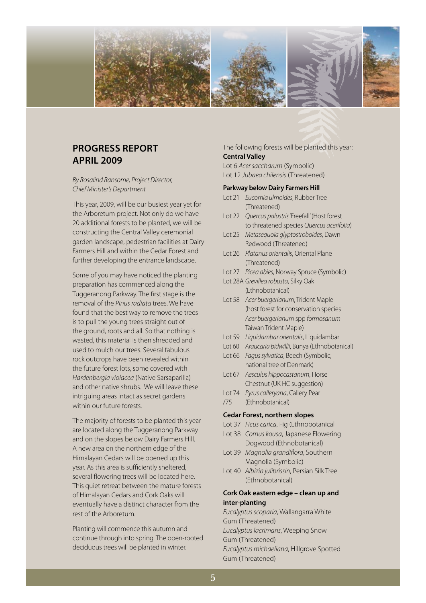

## **PROGRESS REPORT APRIL 2009**

*By Rosalind Ransome, Project Director, Chief Minister's Department* 

This year, 2009, will be our busiest year yet for the Arboretum project. Not only do we have 20 additional forests to be planted, we will be constructing the Central Valley ceremonial garden landscape, pedestrian facilities at Dairy Farmers Hill and within the Cedar Forest and further developing the entrance landscape.

Some of you may have noticed the planting preparation has commenced along the Tuggeranong Parkway. The first stage is the removal of the *Pinus radiata* trees. We have found that the best way to remove the trees is to pull the young trees straight out of the ground, roots and all. So that nothing is wasted, this material is then shredded and used to mulch our trees. Several fabulous rock outcrops have been revealed within the future forest lots, some covered with *Hardenbergia violacea* (Native Sarsaparilla) and other native shrubs. We will leave these intriguing areas intact as secret gardens within our future forests.

The majority of forests to be planted this year are located along the Tuggeranong Parkway and on the slopes below Dairy Farmers Hill. A new area on the northern edge of the Himalayan Cedars will be opened up this year. As this area is sufficiently sheltered, several flowering trees will be located here. This quiet retreat between the mature forests of Himalayan Cedars and Cork Oaks will eventually have a distinct character from the rest of the Arboretum.

Planting will commence this autumn and continue through into spring. The open-rooted deciduous trees will be planted in winter.

### The following forests will be planted this year: **Central Valley**

Lot 6 *Acer saccharum* (Symbolic) Lot 12 *Jubaea chilensis* (Threatened)

#### **Parkway below Dairy Farmers Hill**

- Lot 21 *Eucomia ulmoides*, Rubber Tree (Threatened)
- Lot 22 *Quercus palustris* 'Freefall' (Host forest to threatened species *Quercus acerifolia*)
- Lot 25 *Metasequoia glyptostroboides*, Dawn Redwood (Threatened)
- Lot 26 *Platanus orientalis*, Oriental Plane (Threatened)
- Lot 27 *Picea abies*, Norway Spruce (Symbolic)
- Lot 28A *Grevillea robusta*, Silky Oak (Ethnobotanical)
- Lot 58 *Acer buergerianum*, Trident Maple (host forest for conservation species *Acer buergerianum* spp *formosanum* Taiwan Trident Maple)
- Lot 59 *Liquidambar orientalis*, Liquidambar
- Lot 60 *Araucaria bidwillii*, Bunya (Ethnobotanical)
- Lot 66 *Fagus sylvatica*, Beech (Symbolic, national tree of Denmark)
- Lot 67 *Aesculus hippocastanum*, Horse Chestnut (UK HC suggestion)
- Lot 74 *Pyrus calleryana*, Callery Pear
- /75 (Ethnobotanical)

#### **Cedar Forest, northern slopes**

- Lot 37 *Ficus carica*, Fig (Ethnobotanical
- Lot 38 *Cornus kousa*, Japanese Flowering Dogwood (Ethnobotanical)
- Lot 39 *Magnolia grandiflora*, Southern Magnolia (Symbolic)
- Lot 40 *Albizia julibrissin*, Persian Silk Tree (Ethnobotanical)

## **Cork Oak eastern edge – clean up and inter-planting**

*Eucalyptus scoparia*, Wallangarra White Gum (Threatened) *Eucalyptus lacrimans*, Weeping Snow Gum (Threatened) *Eucalyptus michaeliana*, Hillgrove Spotted Gum (Threatened)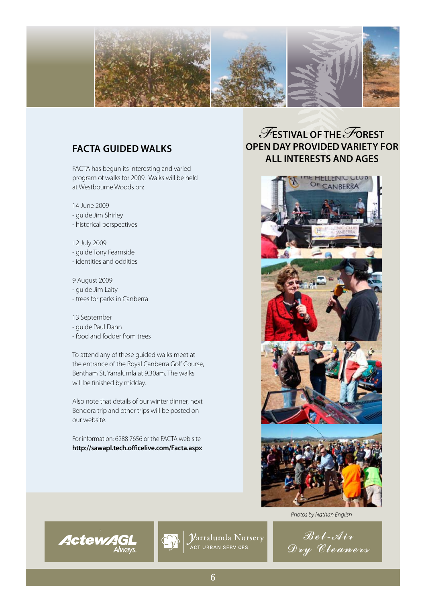

# **FACTA guided walks**

FACTA has begun its interesting and varied program of walks for 2009. Walks will be held at Westbourne Woods on:

14 June 2009

- guide Jim Shirley
- historical perspectives

12 July 2009

- guide Tony Fearnside

- identities and oddities

9 August 2009

- guide Jim Laity
- trees for parks in Canberra

13 September

- guide Paul Dann

**ActewAGL** 

- food and fodder from trees

To attend any of these guided walks meet at the entrance of the Royal Canberra Golf Course, Bentham St, Yarralumla at 9.30am. The walks will be finished by midday.

Also note that details of our winter dinner, next Bendora trip and other trips will be posted on our website.

For information: 6288 7656 or the FACTA web site **http://sawapl.tech.officelive.com/Facta.aspx**

# *F***ESTIVAL OF THE***F***OREST OPEN DAY provided variety for all interests and ages**



*Photos by Nathan English*





 $\boldsymbol{\mathcal{V}}$ arralumla Nursery ACT URBAN SERVICES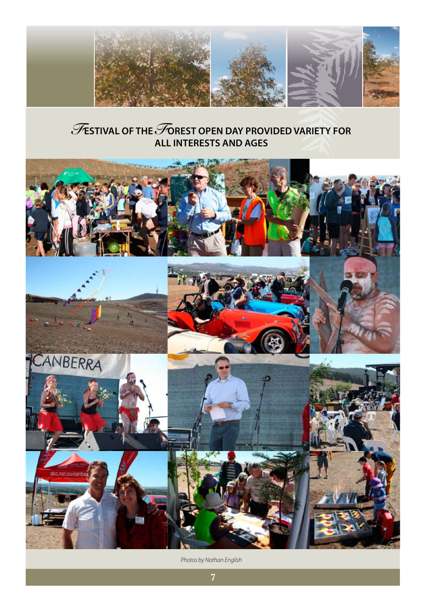

# *F***ESTIVAL OF THE***F***OREST OPEN DAY provided variety for all interests and ages**



*Photos by Nathan English*